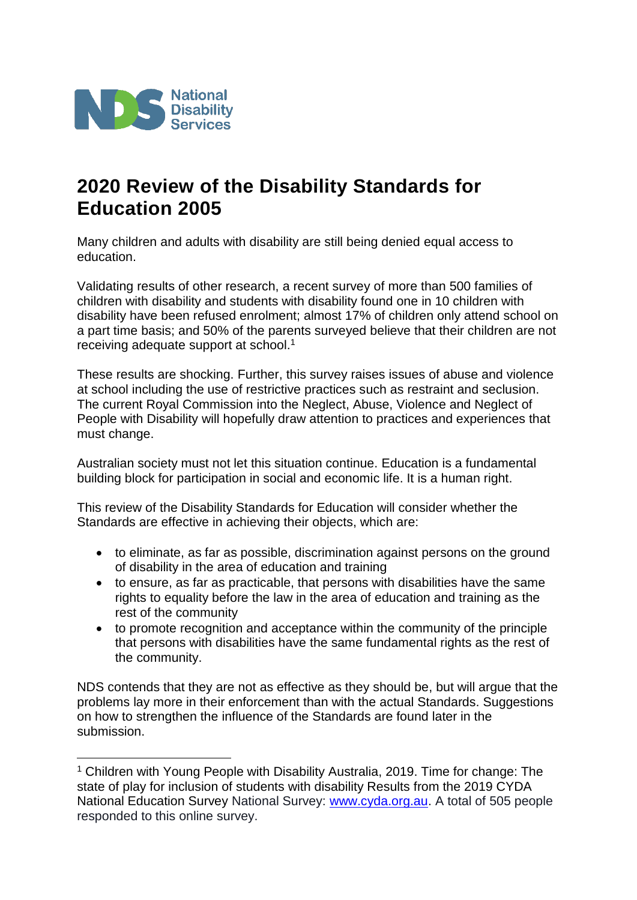

1

# **2020 Review of the Disability Standards for Education 2005**

Many children and adults with disability are still being denied equal access to education.

Validating results of other research, a recent survey of more than 500 families of children with disability and students with disability found one in 10 children with disability have been refused enrolment; almost 17% of children only attend school on a part time basis; and 50% of the parents surveyed believe that their children are not receiving adequate support at school.<sup>1</sup>

These results are shocking. Further, this survey raises issues of abuse and violence at school including the use of restrictive practices such as restraint and seclusion. The current Royal Commission into the Neglect, Abuse, Violence and Neglect of People with Disability will hopefully draw attention to practices and experiences that must change.

Australian society must not let this situation continue. Education is a fundamental building block for participation in social and economic life. It is a human right.

This review of the Disability Standards for Education will consider whether the Standards are effective in achieving their objects, which are:

- to eliminate, as far as possible, discrimination against persons on the ground of disability in the area of education and training
- to ensure, as far as practicable, that persons with disabilities have the same rights to equality before the law in the area of education and training as the rest of the community
- to promote recognition and acceptance within the community of the principle that persons with disabilities have the same fundamental rights as the rest of the community.

NDS contends that they are not as effective as they should be, but will argue that the problems lay more in their enforcement than with the actual Standards. Suggestions on how to strengthen the influence of the Standards are found later in the submission.

<sup>&</sup>lt;sup>1</sup> Children with Young People with Disability Australia, 2019. Time for change: The state of play for inclusion of students with disability Results from the 2019 CYDA National Education Survey National Survey: [www.cyda.org.au.](http://www.cyda.org.au/) A total of 505 people responded to this online survey.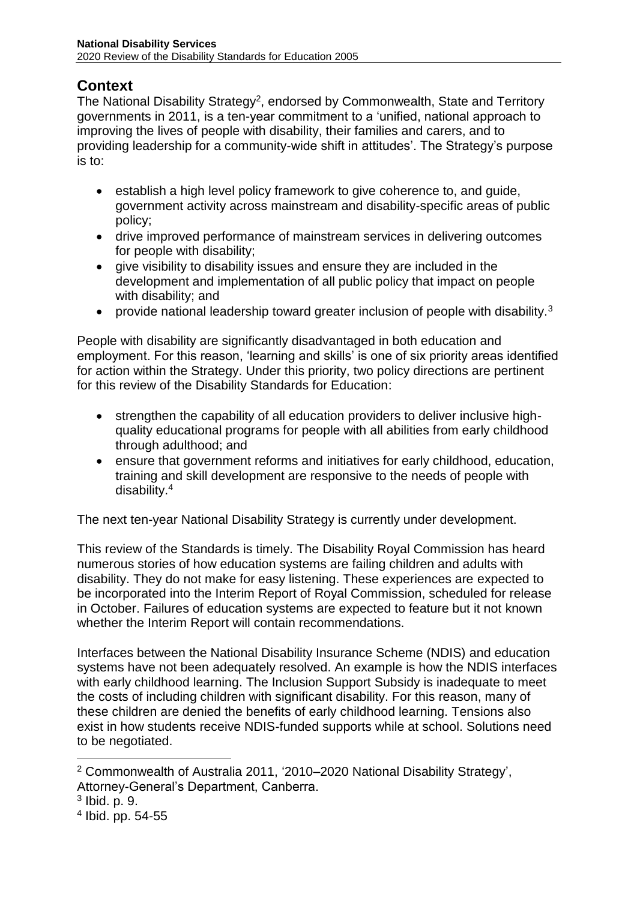# **Context**

The National Disability Strategy<sup>2</sup>, endorsed by Commonwealth, State and Territory governments in 2011, is a ten-year commitment to a 'unified, national approach to improving the lives of people with disability, their families and carers, and to providing leadership for a community-wide shift in attitudes'. The Strategy's purpose is to:

- establish a high level policy framework to give coherence to, and guide, government activity across mainstream and disability-specific areas of public policy;
- drive improved performance of mainstream services in delivering outcomes for people with disability;
- give visibility to disability issues and ensure they are included in the development and implementation of all public policy that impact on people with disability; and
- provide national leadership toward greater inclusion of people with disability.<sup>3</sup>

People with disability are significantly disadvantaged in both education and employment. For this reason, 'learning and skills' is one of six priority areas identified for action within the Strategy. Under this priority, two policy directions are pertinent for this review of the Disability Standards for Education:

- strengthen the capability of all education providers to deliver inclusive highquality educational programs for people with all abilities from early childhood through adulthood; and
- ensure that government reforms and initiatives for early childhood, education, training and skill development are responsive to the needs of people with disability.<sup>4</sup>

The next ten-year National Disability Strategy is currently under development.

This review of the Standards is timely. The Disability Royal Commission has heard numerous stories of how education systems are failing children and adults with disability. They do not make for easy listening. These experiences are expected to be incorporated into the Interim Report of Royal Commission, scheduled for release in October. Failures of education systems are expected to feature but it not known whether the Interim Report will contain recommendations.

Interfaces between the National Disability Insurance Scheme (NDIS) and education systems have not been adequately resolved. An example is how the NDIS interfaces with early childhood learning. The Inclusion Support Subsidy is inadequate to meet the costs of including children with significant disability. For this reason, many of these children are denied the benefits of early childhood learning. Tensions also exist in how students receive NDIS-funded supports while at school. Solutions need to be negotiated.

1

<sup>2</sup> Commonwealth of Australia 2011, '2010–2020 National Disability Strategy', Attorney-General's Department, Canberra.

<sup>3</sup> Ibid. p. 9.

<sup>4</sup> Ibid. pp. 54-55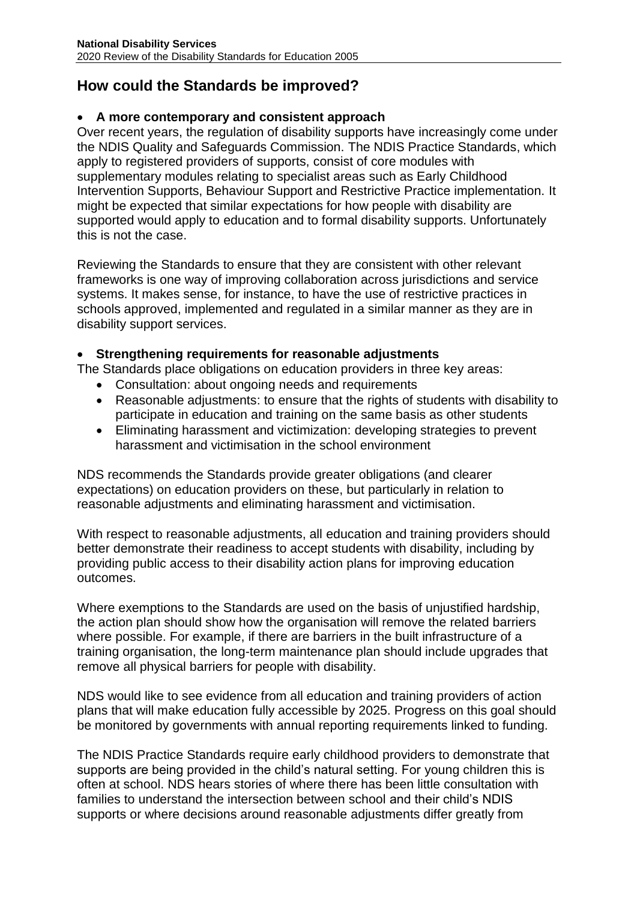# **How could the Standards be improved?**

## **A more contemporary and consistent approach**

Over recent years, the regulation of disability supports have increasingly come under the NDIS Quality and Safeguards Commission. The NDIS Practice Standards, which apply to registered providers of supports, consist of core modules with supplementary modules relating to specialist areas such as Early Childhood Intervention Supports, Behaviour Support and Restrictive Practice implementation. It might be expected that similar expectations for how people with disability are supported would apply to education and to formal disability supports. Unfortunately this is not the case.

Reviewing the Standards to ensure that they are consistent with other relevant frameworks is one way of improving collaboration across jurisdictions and service systems. It makes sense, for instance, to have the use of restrictive practices in schools approved, implemented and regulated in a similar manner as they are in disability support services.

### **Strengthening requirements for reasonable adjustments**

The Standards place obligations on education providers in three key areas:

- Consultation: about ongoing needs and requirements
- Reasonable adjustments: to ensure that the rights of students with disability to participate in education and training on the same basis as other students
- Eliminating harassment and victimization: developing strategies to prevent harassment and victimisation in the school environment

NDS recommends the Standards provide greater obligations (and clearer expectations) on education providers on these, but particularly in relation to reasonable adjustments and eliminating harassment and victimisation.

With respect to reasonable adjustments, all education and training providers should better demonstrate their readiness to accept students with disability, including by providing public access to their disability action plans for improving education outcomes.

Where exemptions to the Standards are used on the basis of unjustified hardship, the action plan should show how the organisation will remove the related barriers where possible. For example, if there are barriers in the built infrastructure of a training organisation, the long-term maintenance plan should include upgrades that remove all physical barriers for people with disability.

NDS would like to see evidence from all education and training providers of action plans that will make education fully accessible by 2025. Progress on this goal should be monitored by governments with annual reporting requirements linked to funding.

The NDIS Practice Standards require early childhood providers to demonstrate that supports are being provided in the child's natural setting. For young children this is often at school. NDS hears stories of where there has been little consultation with families to understand the intersection between school and their child's NDIS supports or where decisions around reasonable adjustments differ greatly from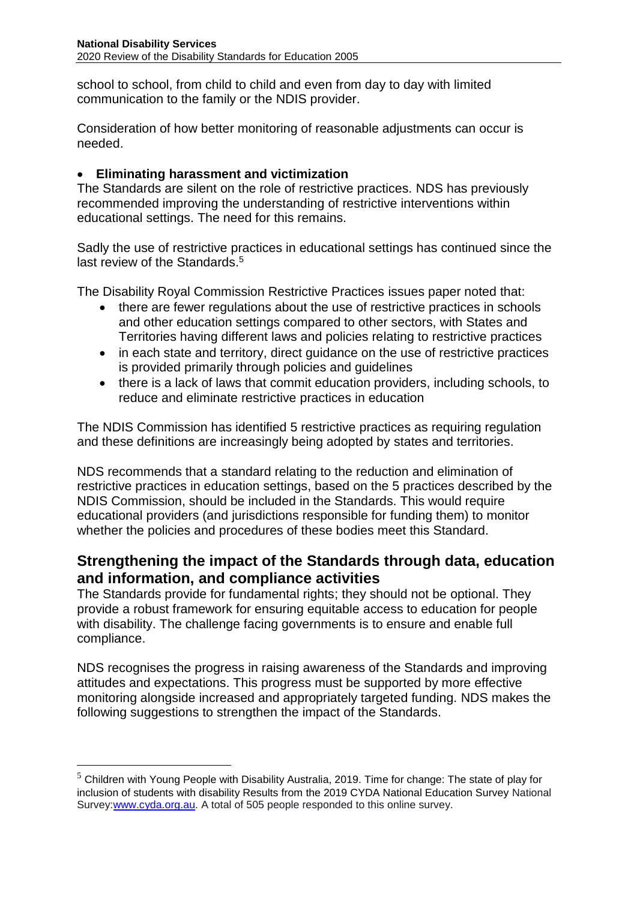school to school, from child to child and even from day to day with limited communication to the family or the NDIS provider.

Consideration of how better monitoring of reasonable adjustments can occur is needed.

### **Eliminating harassment and victimization**

The Standards are silent on the role of restrictive practices. NDS has previously recommended improving the understanding of restrictive interventions within educational settings. The need for this remains.

Sadly the use of restrictive practices in educational settings has continued since the last review of the Standards.<sup>5</sup>

The Disability Royal Commission Restrictive Practices issues paper noted that:

- there are fewer regulations about the use of restrictive practices in schools and other education settings compared to other sectors, with States and Territories having different laws and policies relating to restrictive practices
- in each state and territory, direct guidance on the use of restrictive practices is provided primarily through policies and guidelines
- there is a lack of laws that commit education providers, including schools, to reduce and eliminate restrictive practices in education

The NDIS Commission has identified 5 restrictive practices as requiring regulation and these definitions are increasingly being adopted by states and territories.

NDS recommends that a standard relating to the reduction and elimination of restrictive practices in education settings, based on the 5 practices described by the NDIS Commission, should be included in the Standards. This would require educational providers (and jurisdictions responsible for funding them) to monitor whether the policies and procedures of these bodies meet this Standard.

# **Strengthening the impact of the Standards through data, education and information, and compliance activities**

The Standards provide for fundamental rights; they should not be optional. They provide a robust framework for ensuring equitable access to education for people with disability. The challenge facing governments is to ensure and enable full compliance.

NDS recognises the progress in raising awareness of the Standards and improving attitudes and expectations. This progress must be supported by more effective monitoring alongside increased and appropriately targeted funding. NDS makes the following suggestions to strengthen the impact of the Standards.

<u>.</u>

 $5$  Children with Young People with Disability Australia, 2019. Time for change: The state of play for inclusion of students with disability Results from the 2019 CYDA National Education Survey National Survey[:www.cyda.org.au.](http://www.cyda.org.au/) A total of 505 people responded to this online survey.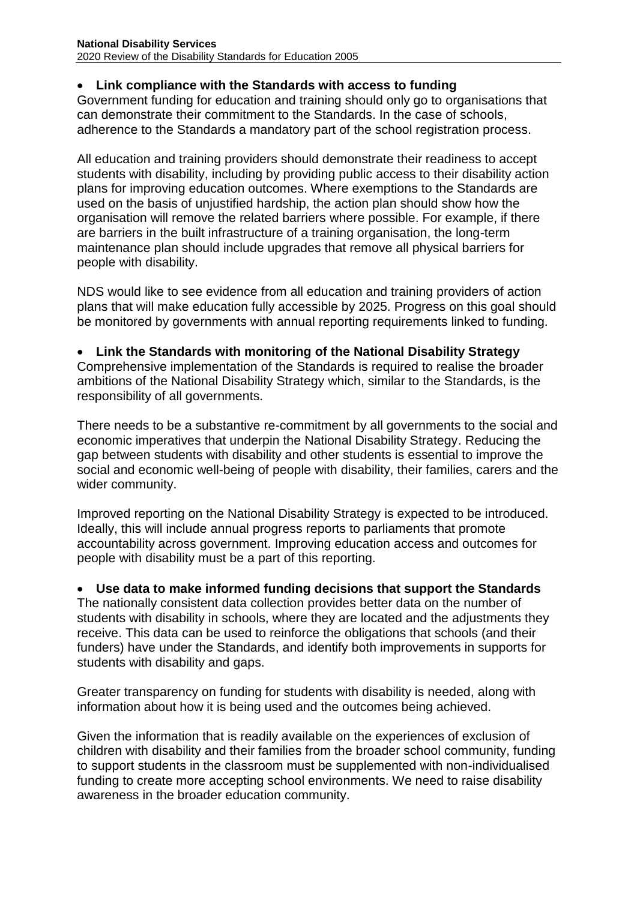## **Link compliance with the Standards with access to funding**

Government funding for education and training should only go to organisations that can demonstrate their commitment to the Standards. In the case of schools, adherence to the Standards a mandatory part of the school registration process.

All education and training providers should demonstrate their readiness to accept students with disability, including by providing public access to their disability action plans for improving education outcomes. Where exemptions to the Standards are used on the basis of unjustified hardship, the action plan should show how the organisation will remove the related barriers where possible. For example, if there are barriers in the built infrastructure of a training organisation, the long-term maintenance plan should include upgrades that remove all physical barriers for people with disability.

NDS would like to see evidence from all education and training providers of action plans that will make education fully accessible by 2025. Progress on this goal should be monitored by governments with annual reporting requirements linked to funding.

#### **Link the Standards with monitoring of the National Disability Strategy**

Comprehensive implementation of the Standards is required to realise the broader ambitions of the National Disability Strategy which, similar to the Standards, is the responsibility of all governments.

There needs to be a substantive re-commitment by all governments to the social and economic imperatives that underpin the National Disability Strategy. Reducing the gap between students with disability and other students is essential to improve the social and economic well-being of people with disability, their families, carers and the wider community.

Improved reporting on the National Disability Strategy is expected to be introduced. Ideally, this will include annual progress reports to parliaments that promote accountability across government. Improving education access and outcomes for people with disability must be a part of this reporting.

#### **Use data to make informed funding decisions that support the Standards**

The nationally consistent data collection provides better data on the number of students with disability in schools, where they are located and the adjustments they receive. This data can be used to reinforce the obligations that schools (and their funders) have under the Standards, and identify both improvements in supports for students with disability and gaps.

Greater transparency on funding for students with disability is needed, along with information about how it is being used and the outcomes being achieved.

Given the information that is readily available on the experiences of exclusion of children with disability and their families from the broader school community, funding to support students in the classroom must be supplemented with non-individualised funding to create more accepting school environments. We need to raise disability awareness in the broader education community.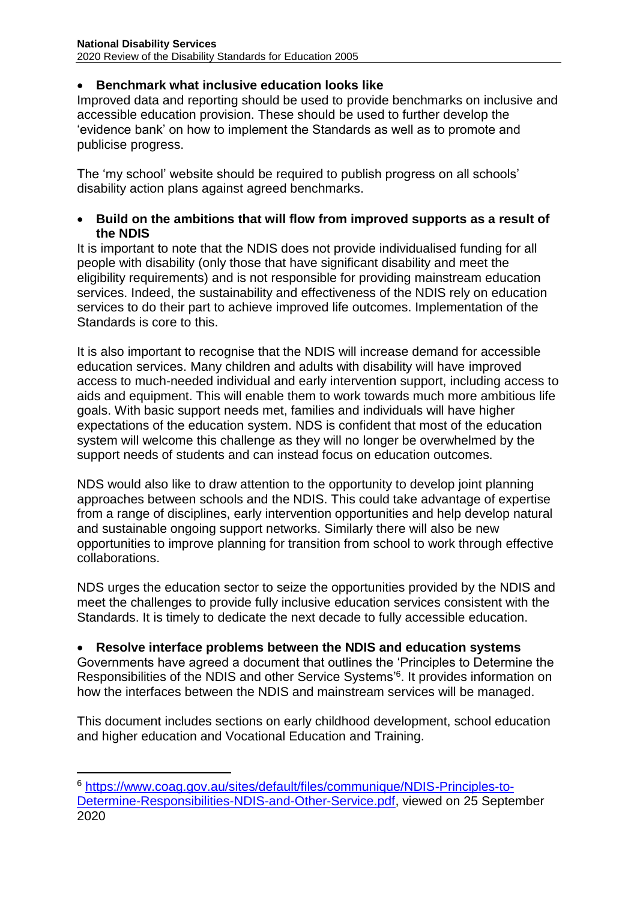## **Benchmark what inclusive education looks like**

Improved data and reporting should be used to provide benchmarks on inclusive and accessible education provision. These should be used to further develop the 'evidence bank' on how to implement the Standards as well as to promote and publicise progress.

The 'my school' website should be required to publish progress on all schools' disability action plans against agreed benchmarks.

#### **Build on the ambitions that will flow from improved supports as a result of the NDIS**

It is important to note that the NDIS does not provide individualised funding for all people with disability (only those that have significant disability and meet the eligibility requirements) and is not responsible for providing mainstream education services. Indeed, the sustainability and effectiveness of the NDIS rely on education services to do their part to achieve improved life outcomes. Implementation of the Standards is core to this.

It is also important to recognise that the NDIS will increase demand for accessible education services. Many children and adults with disability will have improved access to much-needed individual and early intervention support, including access to aids and equipment. This will enable them to work towards much more ambitious life goals. With basic support needs met, families and individuals will have higher expectations of the education system. NDS is confident that most of the education system will welcome this challenge as they will no longer be overwhelmed by the support needs of students and can instead focus on education outcomes.

NDS would also like to draw attention to the opportunity to develop joint planning approaches between schools and the NDIS. This could take advantage of expertise from a range of disciplines, early intervention opportunities and help develop natural and sustainable ongoing support networks. Similarly there will also be new opportunities to improve planning for transition from school to work through effective collaborations.

NDS urges the education sector to seize the opportunities provided by the NDIS and meet the challenges to provide fully inclusive education services consistent with the Standards. It is timely to dedicate the next decade to fully accessible education.

#### **Resolve interface problems between the NDIS and education systems**

Governments have agreed a document that outlines the 'Principles to Determine the Responsibilities of the NDIS and other Service Systems'<sup>6</sup> . It provides information on how the interfaces between the NDIS and mainstream services will be managed.

This document includes sections on early childhood development, school education and higher education and Vocational Education and Training.

1

<sup>6</sup> [https://www.coag.gov.au/sites/default/files/communique/NDIS-Principles-to-](https://www.coag.gov.au/sites/default/files/communique/NDIS-Principles-to-Determine-Responsibilities-NDIS-and-Other-Service.pdf)[Determine-Responsibilities-NDIS-and-Other-Service.pdf,](https://www.coag.gov.au/sites/default/files/communique/NDIS-Principles-to-Determine-Responsibilities-NDIS-and-Other-Service.pdf) viewed on 25 September 2020